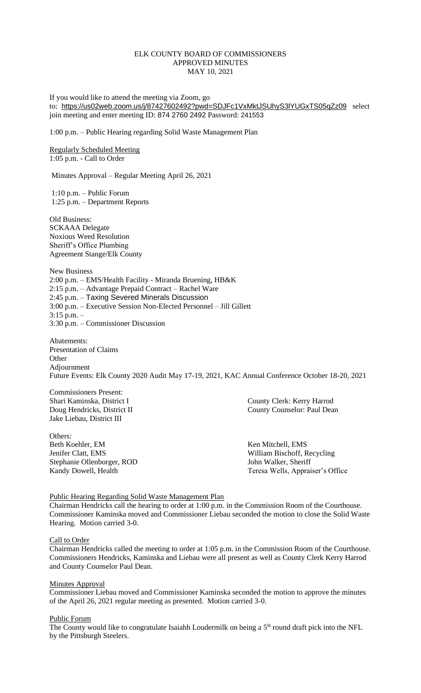## ELK COUNTY BOARD OF COMMISSIONERS APPROVED MINUTES MAY 10, 2021

If you would like to attend the meeting via Zoom, go to: <https://us02web.zoom.us/j/87427602492?pwd=SDJFc1VxMktJSUhyS3lYUGxTS05qZz09> select join meeting and enter meeting ID: 874 2760 2492 Password: 241553

1:00 p.m. – Public Hearing regarding Solid Waste Management Plan

Regularly Scheduled Meeting 1:05 p.m. - Call to Order

Minutes Approval – Regular Meeting April 26, 2021

1:10 p.m. – Public Forum 1:25 p.m. – Department Reports

Old Business: SCKAAA Delegate Noxious Weed Resolution Sheriff's Office Plumbing Agreement Stange/Elk County

New Business 2:00 p.m. – EMS/Health Facility - Miranda Bruening, HB&K 2:15 p.m. – Advantage Prepaid Contract – Rachel Ware 2:45 p.m. – Taxing Severed Minerals Discussion 3:00 p.m. – Executive Session Non-Elected Personnel – Jill Gillett 3:15 p.m. – 3:30 p.m. – Commissioner Discussion

Abatements: Presentation of Claims **Other** Adjournment Future Events: Elk County 2020 Audit May 17-19, 2021, KAC Annual Conference October 18-20, 2021

Commissioners Present: Jake Liebau, District III

Others:<br>Beth Koehler, EM Jenifer Clatt, EMS William Bischoff, Recycling Stephanie Ollenborger, ROD John Walker, Sheriff

Shari Kaminska, District I County Clerk: Kerry Harrod Doug Hendricks, District II County Counselor: Paul Dean

Ken Mitchell, EMS Kandy Dowell, Health Teresa Wells, Appraiser's Office

# Public Hearing Regarding Solid Waste Management Plan

Chairman Hendricks call the hearing to order at 1:00 p.m. in the Commission Room of the Courthouse. Commissioner Kaminska moved and Commissioner Liebau seconded the motion to close the Solid Waste Hearing. Motion carried 3-0.

#### Call to Order

Chairman Hendricks called the meeting to order at 1:05 p.m. in the Commission Room of the Courthouse. Commissioners Hendricks, Kaminska and Liebau were all present as well as County Clerk Kerry Harrod and County Counselor Paul Dean.

#### **Minutes Approval**

Commissioner Liebau moved and Commissioner Kaminska seconded the motion to approve the minutes of the April 26, 2021 regular meeting as presented. Motion carried 3-0.

## Public Forum

The County would like to congratulate Isaiahh Loudermilk on being a 5<sup>th</sup> round draft pick into the NFL by the Pittsburgh Steelers.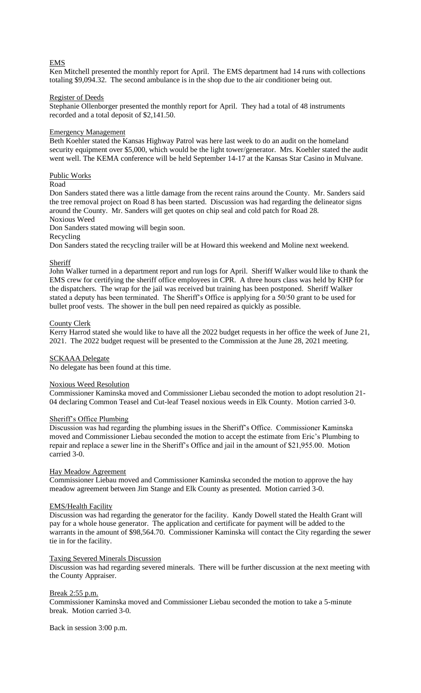# EMS

Ken Mitchell presented the monthly report for April. The EMS department had 14 runs with collections totaling \$9,094.32. The second ambulance is in the shop due to the air conditioner being out.

## Register of Deeds

Stephanie Ollenborger presented the monthly report for April. They had a total of 48 instruments recorded and a total deposit of \$2,141.50.

## Emergency Management

Beth Koehler stated the Kansas Highway Patrol was here last week to do an audit on the homeland security equipment over \$5,000, which would be the light tower/generator. Mrs. Koehler stated the audit went well. The KEMA conference will be held September 14-17 at the Kansas Star Casino in Mulvane.

## Public Works

## Road

Don Sanders stated there was a little damage from the recent rains around the County. Mr. Sanders said the tree removal project on Road 8 has been started. Discussion was had regarding the delineator signs around the County. Mr. Sanders will get quotes on chip seal and cold patch for Road 28.

# Noxious Weed

Don Sanders stated mowing will begin soon.

Recycling

Don Sanders stated the recycling trailer will be at Howard this weekend and Moline next weekend.

## Sheriff

John Walker turned in a department report and run logs for April. Sheriff Walker would like to thank the EMS crew for certifying the sheriff office employees in CPR. A three hours class was held by KHP for the dispatchers. The wrap for the jail was received but training has been postponed. Sheriff Walker stated a deputy has been terminated. The Sheriff's Office is applying for a 50/50 grant to be used for bullet proof vests. The shower in the bull pen need repaired as quickly as possible.

## County Clerk

Kerry Harrod stated she would like to have all the 2022 budget requests in her office the week of June 21, 2021. The 2022 budget request will be presented to the Commission at the June 28, 2021 meeting.

# SCKAAA Delegate

No delegate has been found at this time.

## Noxious Weed Resolution

Commissioner Kaminska moved and Commissioner Liebau seconded the motion to adopt resolution 21- 04 declaring Common Teasel and Cut-leaf Teasel noxious weeds in Elk County. Motion carried 3-0.

#### Sheriff's Office Plumbing

Discussion was had regarding the plumbing issues in the Sheriff's Office. Commissioner Kaminska moved and Commissioner Liebau seconded the motion to accept the estimate from Eric's Plumbing to repair and replace a sewer line in the Sheriff's Office and jail in the amount of \$21,955.00. Motion carried 3-0.

#### Hay Meadow Agreement

Commissioner Liebau moved and Commissioner Kaminska seconded the motion to approve the hay meadow agreement between Jim Stange and Elk County as presented. Motion carried 3-0.

#### EMS/Health Facility

Discussion was had regarding the generator for the facility. Kandy Dowell stated the Health Grant will pay for a whole house generator. The application and certificate for payment will be added to the warrants in the amount of \$98,564.70. Commissioner Kaminska will contact the City regarding the sewer tie in for the facility.

#### Taxing Severed Minerals Discussion

Discussion was had regarding severed minerals. There will be further discussion at the next meeting with the County Appraiser.

#### Break 2:55 p.m.

Commissioner Kaminska moved and Commissioner Liebau seconded the motion to take a 5-minute break. Motion carried 3-0.

Back in session 3:00 p.m.